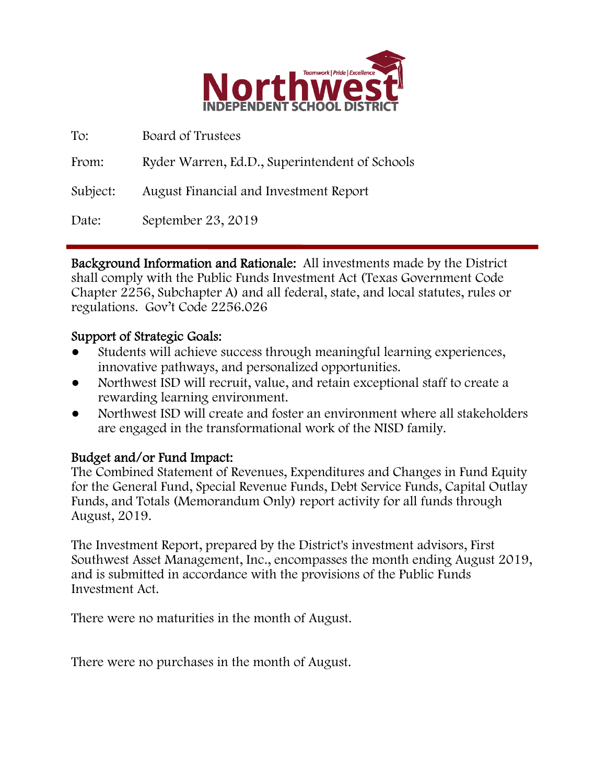

| To:      | Board of Trustees                              |
|----------|------------------------------------------------|
| From:    | Ryder Warren, Ed.D., Superintendent of Schools |
| Subject: | August Financial and Investment Report         |
| Date:    | September 23, 2019                             |

Background Information and Rationale: All investments made by the District shall comply with the Public Funds Investment Act (Texas Government Code Chapter 2256, Subchapter A) and all federal, state, and local statutes, rules or regulations. Gov't Code 2256.026

### Support of Strategic Goals:

- Students will achieve success through meaningful learning experiences, innovative pathways, and personalized opportunities.
- Northwest ISD will recruit, value, and retain exceptional staff to create a rewarding learning environment.
- Northwest ISD will create and foster an environment where all stakeholders are engaged in the transformational work of the NISD family.

### Budget and/or Fund Impact:

The Combined Statement of Revenues, Expenditures and Changes in Fund Equity for the General Fund, Special Revenue Funds, Debt Service Funds, Capital Outlay Funds, and Totals (Memorandum Only) report activity for all funds through August, 2019.

The Investment Report, prepared by the District's investment advisors, First Southwest Asset Management, Inc., encompasses the month ending August 2019, and is submitted in accordance with the provisions of the Public Funds Investment Act.

There were no maturities in the month of August.

There were no purchases in the month of August.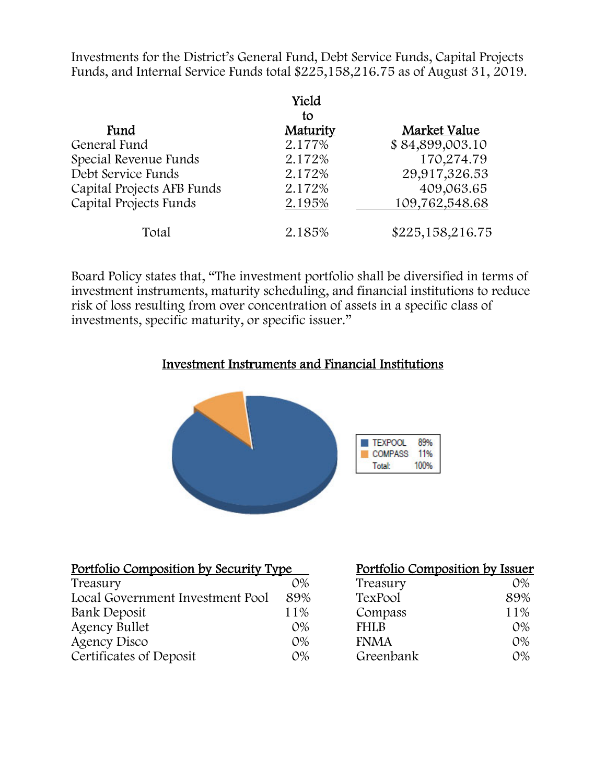Investments for the District's General Fund, Debt Service Funds, Capital Projects Funds, and Internal Service Funds total \$225,158,216.75 as of August 31, 2019.

|                            | Yield<br>to |                  |  |
|----------------------------|-------------|------------------|--|
| Fund                       | Maturity    | Market Value     |  |
| General Fund               | 2.177%      | \$84,899,003.10  |  |
| Special Revenue Funds      | 2.172%      | 170,274.79       |  |
| Debt Service Funds         | 2.172%      | 29,917,326.53    |  |
| Capital Projects AFB Funds | 2.172%      | 409,063.65       |  |
| Capital Projects Funds     | 2.195%      | 109,762,548.68   |  |
| Total                      | 2.185%      | \$225,158,216.75 |  |

Board Policy states that, "The investment portfolio shall be diversified in terms of investment instruments, maturity scheduling, and financial institutions to reduce risk of loss resulting from over concentration of assets in a specific class of investments, specific maturity, or specific issuer."

#### Investment Instruments and Financial Institutions



| Portfolio Composition by Security Type |       | Portfolio Composition by Issuer |       |
|----------------------------------------|-------|---------------------------------|-------|
| Treasury                               | $O\%$ | Treasury                        | $O\%$ |
| Local Government Investment Pool       | 89%   | TexPool                         | 89%   |
| Bank Deposit                           | 11%   | Compass                         | 11%   |
| <b>Agency Bullet</b>                   | $O\%$ | <b>FHLB</b>                     | $O\%$ |
| Agency Disco                           | $O\%$ | <b>FNMA</b>                     | $O\%$ |
| Certificates of Deposit                | $O\%$ | Greenbank                       | $O\%$ |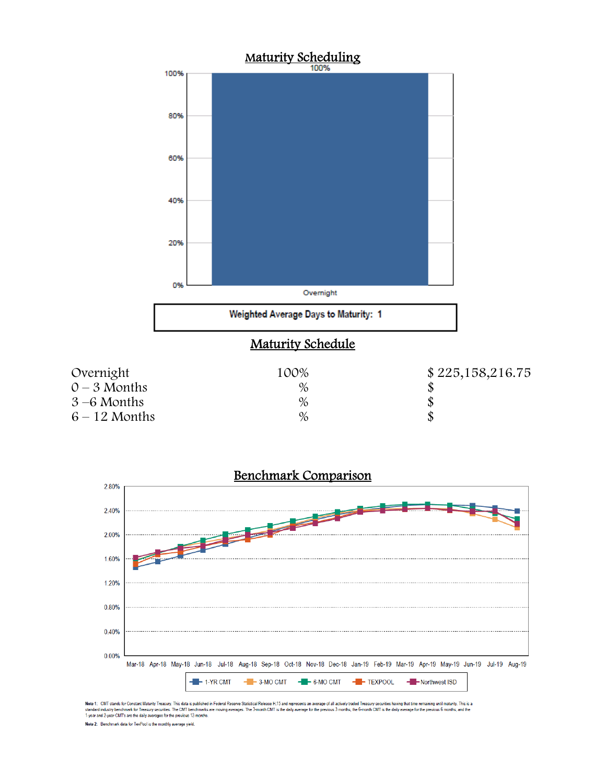



Note 1: CMT stands for Constant Maturity Treasury. This data is published in Federal Reserve Statistical Release H.15 and represents an average of all actively traded Treasury securities having that time remaining until ma Note 2: Benchmark data for TexPool is the monthly average yield.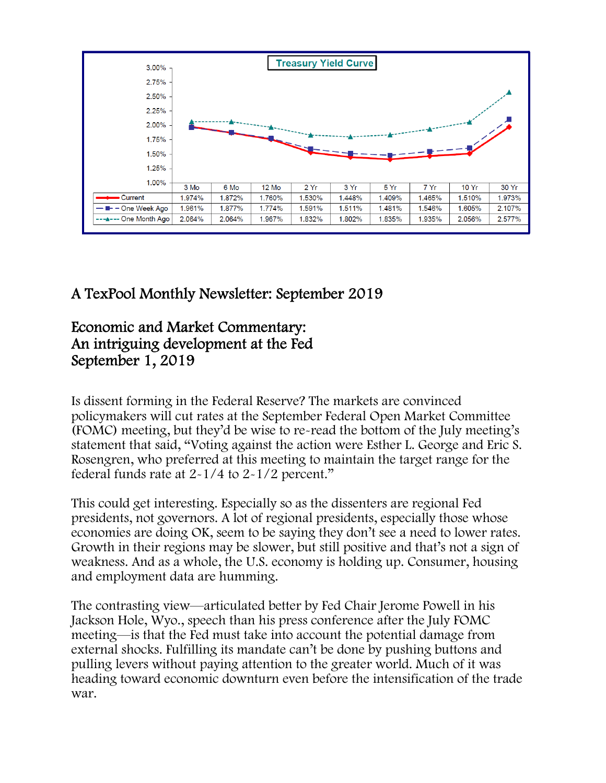

# A TexPool Monthly Newsletter: September 2019

## Economic and Market Commentary: An intriguing development at the Fed September 1, 2019

Is dissent forming in the Federal Reserve? The markets are convinced policymakers will cut rates at the September Federal Open Market Committee (FOMC) meeting, but they'd be wise to re-read the bottom of the July meeting's statement that said, "Voting against the action were Esther L. George and Eric S. Rosengren, who preferred at this meeting to maintain the target range for the federal funds rate at 2-1/4 to 2-1/2 percent."

This could get interesting. Especially so as the dissenters are regional Fed presidents, not governors. A lot of regional presidents, especially those whose economies are doing OK, seem to be saying they don't see a need to lower rates. Growth in their regions may be slower, but still positive and that's not a sign of weakness. And as a whole, the U.S. economy is holding up. Consumer, housing and employment data are humming.

The contrasting view—articulated better by Fed Chair Jerome Powell in his Jackson Hole, Wyo., speech than his press conference after the July FOMC meeting—is that the Fed must take into account the potential damage from external shocks. Fulfilling its mandate can't be done by pushing buttons and pulling levers without paying attention to the greater world. Much of it was heading toward economic downturn even before the intensification of the trade war.